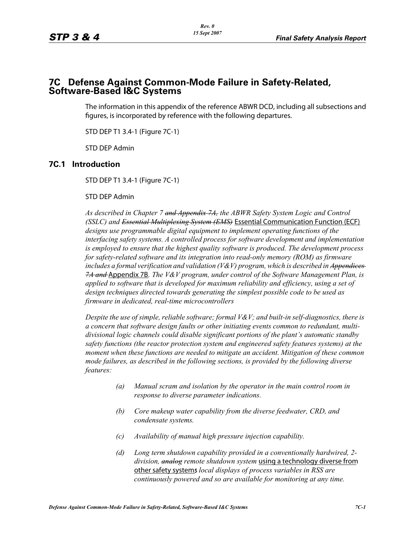# **7C Defense Against Common-Mode Failure in Safety-Related, Software-Based I&C Systems**

The information in this appendix of the reference ABWR DCD, including all subsections and figures, is incorporated by reference with the following departures.

STD DEP T1 3.4-1 (Figure 7C-1)

STD DEP Admin

#### **7C.1 Introduction**

STD DEP T1 3.4-1 (Figure 7C-1)

#### STD DEP Admin

*As described in Chapter 7 and Appendix 7A, the ABWR Safety System Logic and Control (SSLC) and Essential Multiplexing System (EMS)* Essential Communication Function (ECF) *designs use programmable digital equipment to implement operating functions of the interfacing safety systems. A controlled process for software development and implementation is employed to ensure that the highest quality software is produced. The development process for safety-related software and its integration into read-only memory (ROM) as firmware includes a formal verification and validation (V&V) program, which is described in Appendices 7A and* Appendix 7B*. The V&V program, under control of the Software Management Plan, is applied to software that is developed for maximum reliability and efficiency, using a set of design techniques directed towards generating the simplest possible code to be used as firmware in dedicated, real-time microcontrollers*

*Despite the use of simple, reliable software; formal V&V; and built-in self-diagnostics, there is a concern that software design faults or other initiating events common to redundant, multidivisional logic channels could disable significant portions of the plant's automatic standby safety functions (the reactor protection system and engineered safety features systems) at the moment when these functions are needed to mitigate an accident. Mitigation of these common mode failures, as described in the following sections, is provided by the following diverse features:*

- *(a) Manual scram and isolation by the operator in the main control room in response to diverse parameter indications.*
- *(b) Core makeup water capability from the diverse feedwater, CRD, and condensate systems.*
- *(c) Availability of manual high pressure injection capability.*
- *(d) Long term shutdown capability provided in a conventionally hardwired, 2 division, analog remote shutdown system* using a technology diverse from other safety systems*; local displays of process variables in RSS are continuously powered and so are available for monitoring at any time.*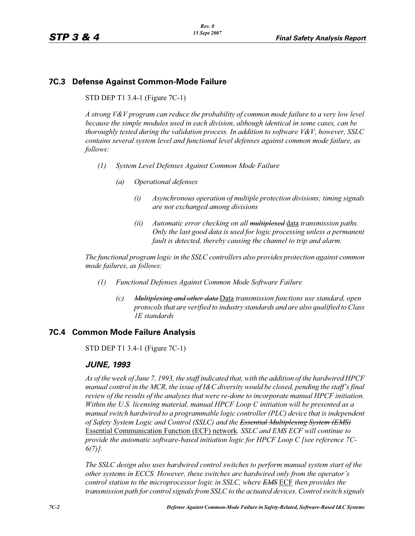# **7C.3 Defense Against Common-Mode Failure**

STD DEP T1 3.4-1 (Figure 7C-1)

*A strong V&V program can reduce the probability of common mode failure to a very low level because the simple modules used in each division, although identical in some cases, can be thoroughly tested during the validation process. In addition to software V&V, however, SSLC contains several system level and functional level defenses against common mode failure, as follows:*

- *(1) System Level Defenses Against Common Mode Failure*
	- *(a) Operational defenses*
		- *(i) Asynchronous operation of multiple protection divisions; timing signals are not exchanged among divisions*
		- *(ii) Automatic error checking on all multiplexed* data *transmission paths. Only the last good data is used for logic processing unless a permanent fault is detected, thereby causing the channel to trip and alarm.*

*The functional program logic in the SSLC controllers also provides protection against common mode failures, as follows:*

- *(1) Functional Defenses Against Common Mode Software Failure*
	- *(c) Multiplexing and other data* Data *transmission functions use standard, open protocols that are verified to industry standards and are also qualified to Class 1E standards*

# **7C.4 Common Mode Failure Analysis**

STD DEP T1 3.4-1 (Figure 7C-1)

# *JUNE, 1993*

*As of the week of June 7, 1993, the staff indicated that, with the addition of the hardwired HPCF manual control in the MCR, the issue of I&C diversity would be closed, pending the staff's final review of the results of the analyses that were re-done to incorporate manual HPCF initiation. Within the U.S. licensing material, manual HPCF Loop C initiation will be presented as a manual switch hardwired to a programmable logic controller (PLC) device that is independent of Safety System Logic and Control (SSLC) and the Essential Multiplexing System (EMS)* Essential Communication Function (ECF) network*. SSLC and EMS ECF will continue to provide the automatic software-based initiation logic for HPCF Loop C [see reference 7C-6(7)].*

*The SSLC design also uses hardwired control switches to perform manual system start of the other systems in ECCS. However, these switches are hardwired only from the operator's control station to the microprocessor logic in SSLC, where EMS* ECF *then provides the transmission path for control signals from SSLC to the actuated devices. Control switch signals*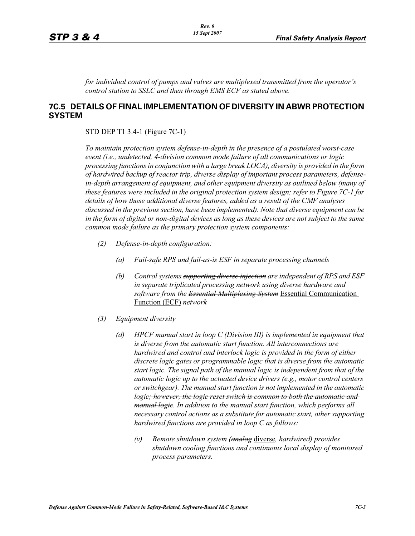*for individual control of pumps and valves are multiplexed transmitted from the operator's control station to SSLC and then through EMS ECF as stated above.*

#### **7C.5 DETAILS OF FINAL IMPLEMENTATION OF DIVERSITY IN ABWR PROTECTION SYSTEM**

STD DEP T1 3.4-1 (Figure 7C-1)

*To maintain protection system defense-in-depth in the presence of a postulated worst-case event (i.e., undetected, 4-division common mode failure of all communications or logic processing functions in conjunction with a large break LOCA), diversity is provided in the form of hardwired backup of reactor trip, diverse display of important process parameters, defense*in-depth arrangement of equipment, and other equipment diversity as outlined below (many of *these features were included in the original protection system design; refer to Figure 7C-1 for details of how those additional diverse features, added as a result of the CMF analyses discussed in the previous section, have been implemented). Note that diverse equipment can be in the form of digital or non-digital devices as long as these devices are not subject to the same common mode failure as the primary protection system components:*

- *(2) Defense-in-depth configuration:*
	- *(a) Fail-safe RPS and fail-as-is ESF in separate processing channels*
	- *(b) Control systems supporting diverse injection are independent of RPS and ESF in separate triplicated processing network using diverse hardware and software from the Essential Multiplexing System* Essential Communication Function (ECF) *network*
- *(3) Equipment diversity*
	- *(d) HPCF manual start in loop C (Division III) is implemented in equipment that is diverse from the automatic start function. All interconnections are hardwired and control and interlock logic is provided in the form of either discrete logic gates or programmable logic that is diverse from the automatic start logic. The signal path of the manual logic is independent from that of the automatic logic up to the actuated device drivers (e.g., motor control centers or switchgear). The manual start function is not implemented in the automatic logic<del>; however, the logic reset switch is common to both the automatic and*</del> *manual logic. In addition to the manual start function, which performs all necessary control actions as a substitute for automatic start, other supporting hardwired functions are provided in loop C as follows:*
		- *(v) Remote shutdown system (analog* diverse*, hardwired) provides shutdown cooling functions and continuous local display of monitored process parameters.*